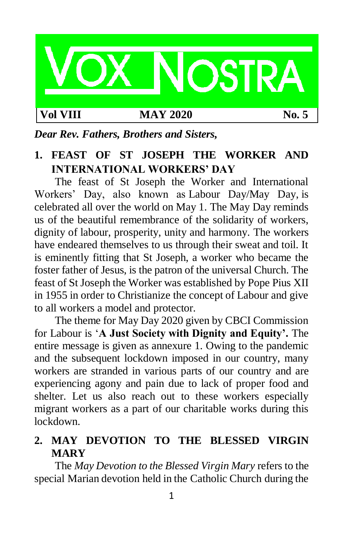

# **Vol VIII MAY 2020 No. 5**

## *Dear Rev. Fathers, Brothers and Sisters,*

## **1. FEAST OF ST JOSEPH THE WORKER AND INTERNATIONAL WORKERS' DAY**

The feast of St Joseph the Worker and International Workers' Day, also known as Labour Day/May Day, is celebrated all over the world on May 1. The May Day reminds us of the beautiful remembrance of the solidarity of workers, dignity of labour, prosperity, unity and harmony. The workers have endeared themselves to us through their sweat and toil. It is eminently fitting that St Joseph, a worker who became the foster father of Jesus, is the patron of the universal Church. The feast of St Joseph the Worker was established by Pope Pius XII in 1955 in order to Christianize the concept of Labour and give to all workers a model and protector.

The theme for May Day 2020 given by CBCI Commission for Labour is '**A Just Society with Dignity and Equity'.** The entire message is given as annexure 1. Owing to the pandemic and the subsequent lockdown imposed in our country, many workers are stranded in various parts of our country and are experiencing agony and pain due to lack of proper food and shelter. Let us also reach out to these workers especially migrant workers as a part of our charitable works during this lockdown.

# **2. MAY DEVOTION TO THE BLESSED VIRGIN MARY**

The *May Devotion to the Blessed Virgin Mary* refers to the special Marian devotion held in the Catholic Church during the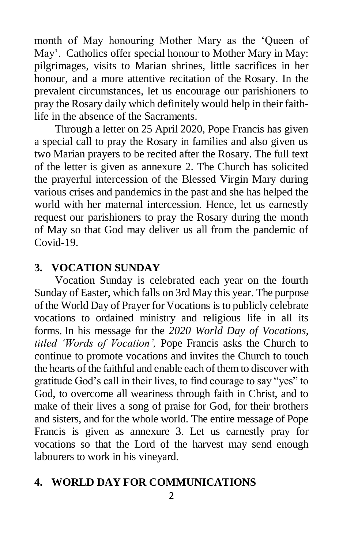month of May honouring Mother Mary as the 'Queen of May'. Catholics offer special honour to Mother Mary in May: pilgrimages, visits to Marian shrines, little sacrifices in her honour, and a more attentive recitation of the Rosary. In the prevalent circumstances, let us encourage our parishioners to pray the Rosary daily which definitely would help in their faithlife in the absence of the Sacraments.

Through a letter on 25 April 2020, Pope Francis has given a special call to pray the Rosary in families and also given us two Marian prayers to be recited after the Rosary. The full text of the letter is given as annexure 2. The Church has solicited the prayerful intercession of the Blessed Virgin Mary during various crises and pandemics in the past and she has helped the world with her maternal intercession. Hence, let us earnestly request our parishioners to pray the Rosary during the month of May so that God may deliver us all from the pandemic of Covid-19.

## **3. VOCATION SUNDAY**

Vocation Sunday is celebrated each year on the fourth Sunday of Easter, which falls on 3rd May this year. The purpose of the World Day of Prayer for Vocations is to publicly celebrate vocations to ordained ministry and religious life in all its forms. In his message for the *2020 World Day of Vocations, titled 'Words of Vocation',* Pope Francis asks the Church to continue to promote vocations and invites the Church to touch the hearts of the faithful and enable each of them to discover with gratitude God's call in their lives, to find courage to say "yes" to God, to overcome all weariness through faith in Christ, and to make of their lives a song of praise for God, for their brothers and sisters, and for the whole world. The entire message of Pope Francis is given as annexure 3. Let us earnestly pray for vocations so that the Lord of the harvest may send enough labourers to work in his vineyard.

## **4. WORLD DAY FOR COMMUNICATIONS**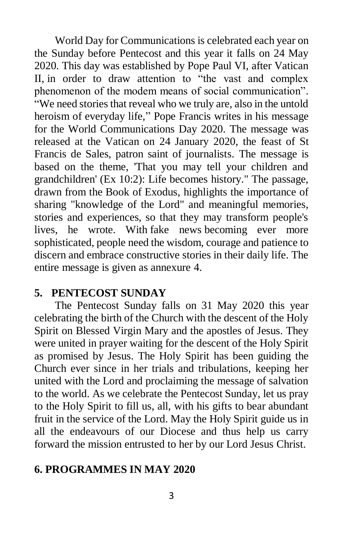World Day for Communications is celebrated each year on the Sunday before Pentecost and this year it falls on 24 May 2020. This day was established by Pope Paul VI, after Vatican II, in order to draw attention to "the vast and complex phenomenon of the modem means of social communication". "We need stories that reveal who we truly are, also in the untold heroism of everyday life," Pope Francis writes in his message for the World Communications Day 2020. The message was released at the Vatican on 24 January 2020, the feast of St Francis de Sales, patron saint of journalists. The message is based on the theme, 'That you may tell your children and grandchildren' (Ex 10:2): Life becomes history." The passage, drawn from the [Book of Exodus,](https://catholiccourier.com/articles/book-of-exodus) highlights the importance of sharing "knowledge of the Lord" and meaningful memories, stories and experiences, so that they may transform people's lives, he wrote. With fake news becoming ever more sophisticated, people need the wisdom, courage and patience to discern and embrace constructive stories in their daily life. The entire message is given as annexure 4.

## **5. PENTECOST SUNDAY**

The Pentecost Sunday falls on 31 May 2020 this year celebrating the birth of the Church with the descent of the Holy Spirit on Blessed Virgin Mary and the apostles of Jesus. They were united in prayer waiting for the descent of the Holy Spirit as promised by Jesus. The Holy Spirit has been guiding the Church ever since in her trials and tribulations, keeping her united with the Lord and proclaiming the message of salvation to the world. As we celebrate the Pentecost Sunday, let us pray to the Holy Spirit to fill us, all, with his gifts to bear abundant fruit in the service of the Lord. May the Holy Spirit guide us in all the endeavours of our Diocese and thus help us carry forward the mission entrusted to her by our Lord Jesus Christ.

## **6. PROGRAMMES IN MAY 2020**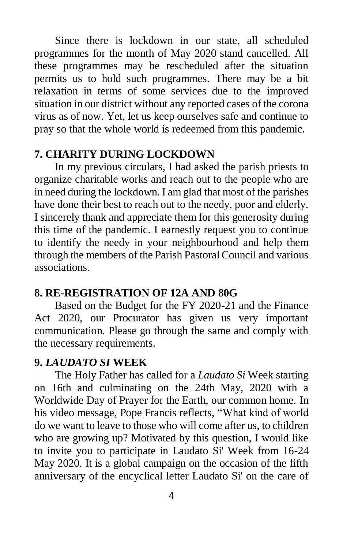Since there is lockdown in our state, all scheduled programmes for the month of May 2020 stand cancelled. All these programmes may be rescheduled after the situation permits us to hold such programmes. There may be a bit relaxation in terms of some services due to the improved situation in our district without any reported cases of the corona virus as of now. Yet, let us keep ourselves safe and continue to pray so that the whole world is redeemed from this pandemic.

#### **7. CHARITY DURING LOCKDOWN**

In my previous circulars, I had asked the parish priests to organize charitable works and reach out to the people who are in need during the lockdown. I am glad that most of the parishes have done their best to reach out to the needy, poor and elderly. I sincerely thank and appreciate them for this generosity during this time of the pandemic. I earnestly request you to continue to identify the needy in your neighbourhood and help them through the members of the Parish Pastoral Council and various associations.

## **8. RE-REGISTRATION OF 12A AND 80G**

Based on the Budget for the FY 2020-21 and the Finance Act 2020, our Procurator has given us very important communication. Please go through the same and comply with the necessary requirements.

#### **9.** *LAUDATO SI* **WEEK**

The Holy Father has called for a *Laudato Si* Week starting on 16th and culminating on the 24th May, 2020 with a Worldwide Day of Prayer for the Earth, our common home. In his video message, Pope Francis reflects, "What kind of world do we want to leave to those who will come after us, to children who are growing up? Motivated by this question, I would like to invite you to participate in Laudato Si' Week from 16-24 May 2020. It is a global campaign on the occasion of the fifth anniversary of the encyclical letter Laudato Si' on the care of